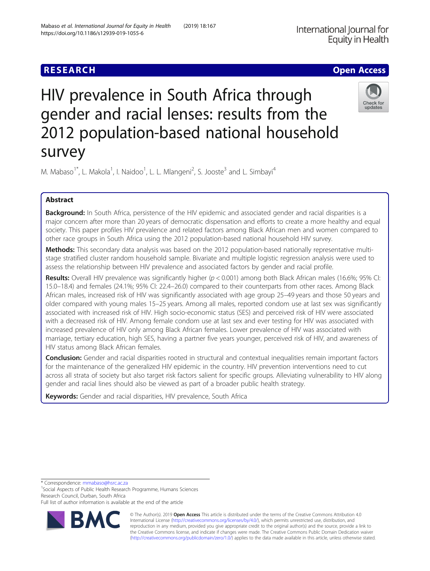## **RESEARCH CHE Open Access**

# HIV prevalence in South Africa through gender and racial lenses: results from the 2012 population-based national household survey

M. Mabaso<sup>1\*</sup>, L. Makola<sup>1</sup>, I. Naidoo<sup>1</sup>, L. L. Mlangeni<sup>2</sup>, S. Jooste<sup>3</sup> and L. Simbayi<sup>4</sup>

## Abstract

Background: In South Africa, persistence of the HIV epidemic and associated gender and racial disparities is a major concern after more than 20 years of democratic dispensation and efforts to create a more healthy and equal society. This paper profiles HIV prevalence and related factors among Black African men and women compared to other race groups in South Africa using the 2012 population-based national household HIV survey.

Methods: This secondary data analysis was based on the 2012 population-based nationally representative multistage stratified cluster random household sample. Bivariate and multiple logistic regression analysis were used to assess the relationship between HIV prevalence and associated factors by gender and racial profile.

**Results:** Overall HIV prevalence was significantly higher ( $p < 0.001$ ) among both Black African males (16.6%; 95% CI: 15.0–18.4) and females (24.1%; 95% CI: 22.4–26.0) compared to their counterparts from other races. Among Black African males, increased risk of HIV was significantly associated with age group 25–49 years and those 50 years and older compared with young males 15–25 years. Among all males, reported condom use at last sex was significantly associated with increased risk of HIV. High socio-economic status (SES) and perceived risk of HIV were associated with a decreased risk of HIV. Among female condom use at last sex and ever testing for HIV was associated with increased prevalence of HIV only among Black African females. Lower prevalence of HIV was associated with marriage, tertiary education, high SES, having a partner five years younger, perceived risk of HIV, and awareness of HIV status among Black African females.

Conclusion: Gender and racial disparities rooted in structural and contextual inequalities remain important factors for the maintenance of the generalized HIV epidemic in the country. HIV prevention interventions need to cut across all strata of society but also target risk factors salient for specific groups. Alleviating vulnerability to HIV along gender and racial lines should also be viewed as part of a broader public health strategy.

Keywords: Gender and racial disparities, HIV prevalence, South Africa

\* Correspondence: [mmabaso@hsrc.ac.za](mailto:mmabaso@hsrc.ac.za) <sup>1</sup>

<sup>1</sup> Social Aspects of Public Health Research Programme, Humans Sciences Research Council, Durban, South Africa

Full list of author information is available at the end of the article







updates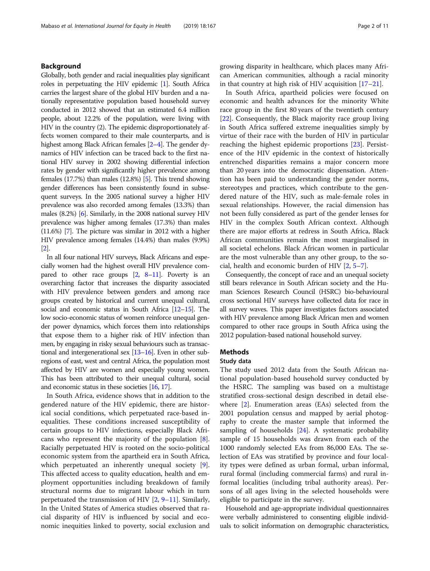## Background

Globally, both gender and racial inequalities play significant roles in perpetuating the HIV epidemic [\[1](#page-9-0)]. South Africa carries the largest share of the global HIV burden and a nationally representative population based household survey conducted in 2012 showed that an estimated 6.4 million people, about 12.2% of the population, were living with HIV in the country (2). The epidemic disproportionately affects women compared to their male counterparts, and is highest among Black African females [\[2](#page-9-0)–[4](#page-9-0)]. The gender dynamics of HIV infection can be traced back to the first national HIV survey in 2002 showing differential infection rates by gender with significantly higher prevalence among females (17.7%) than males (12.8%) [\[5\]](#page-9-0). This trend showing gender differences has been consistently found in subsequent surveys. In the 2005 national survey a higher HIV prevalence was also recorded among females (13.3%) than males (8.2%) [\[6\]](#page-10-0). Similarly, in the 2008 national survey HIV prevalence was higher among females (17.3%) than males (11.6%) [\[7\]](#page-10-0). The picture was similar in 2012 with a higher HIV prevalence among females (14.4%) than males (9.9%) [[2](#page-9-0)].

In all four national HIV surveys, Black Africans and especially women had the highest overall HIV prevalence compared to other race groups  $[2, 8-11]$  $[2, 8-11]$  $[2, 8-11]$  $[2, 8-11]$  $[2, 8-11]$  $[2, 8-11]$ . Poverty is an overarching factor that increases the disparity associated with HIV prevalence between genders and among race groups created by historical and current unequal cultural, social and economic status in South Africa [\[12](#page-10-0)–[15](#page-10-0)]. The low socio-economic status of women reinforce unequal gender power dynamics, which forces them into relationships that expose them to a higher risk of HIV infection than men, by engaging in risky sexual behaviours such as transactional and intergenerational sex [\[13](#page-10-0)–[16\]](#page-10-0). Even in other subregions of east, west and central Africa, the population most affected by HIV are women and especially young women. This has been attributed to their unequal cultural, social and economic status in these societies [\[16,](#page-10-0) [17\]](#page-10-0).

In South Africa, evidence shows that in addition to the gendered nature of the HIV epidemic, there are historical social conditions, which perpetuated race-based inequalities. These conditions increased susceptibility of certain groups to HIV infections, especially Black Africans who represent the majority of the population  $[8]$  $[8]$ . Racially perpetuated HIV is rooted on the socio-political economic system from the apartheid era in South Africa, which perpetuated an inherently unequal society [\[9](#page-10-0)]. This affected access to quality education, health and employment opportunities including breakdown of family structural norms due to migrant labour which in turn perpetuated the transmission of HIV [[2](#page-9-0), [9](#page-10-0)–[11](#page-10-0)]. Similarly, In the United States of America studies observed that racial disparity of HIV is influenced by social and economic inequities linked to poverty, social exclusion and growing disparity in healthcare, which places many African American communities, although a racial minority in that country at high risk of HIV acquisition [\[17](#page-10-0)–[21\]](#page-10-0).

In South Africa, apartheid policies were focused on economic and health advances for the minority White race group in the first 80 years of the twentieth century [[22\]](#page-10-0). Consequently, the Black majority race group living in South Africa suffered extreme inequalities simply by virtue of their race with the burden of HIV in particular reaching the highest epidemic proportions [\[23\]](#page-10-0). Persistence of the HIV epidemic in the context of historically entrenched disparities remains a major concern more than 20 years into the democratic dispensation. Attention has been paid to understanding the gender norms, stereotypes and practices, which contribute to the gendered nature of the HIV, such as male-female roles in sexual relationships. However, the racial dimension has not been fully considered as part of the gender lenses for HIV in the complex South African context. Although there are major efforts at redress in South Africa, Black African communities remain the most marginalised in all societal echelons. Black African women in particular are the most vulnerable than any other group, to the social, health and economic burden of HIV [[2,](#page-9-0) [5](#page-9-0)–[7\]](#page-10-0).

Consequently, the concept of race and an unequal society still bears relevance in South African society and the Human Sciences Research Council (HSRC) bio-behavioural cross sectional HIV surveys have collected data for race in all survey waves. This paper investigates factors associated with HIV prevalence among Black African men and women compared to other race groups in South Africa using the 2012 population-based national household survey.

## **Methods**

## Study data

The study used 2012 data from the South African national population-based household survey conducted by the HSRC. The sampling was based on a multistage stratified cross-sectional design described in detail elsewhere [\[2](#page-9-0)]. Enumeration areas (EAs) selected from the 2001 population census and mapped by aerial photography to create the master sample that informed the sampling of households [\[24](#page-10-0)]. A systematic probability sample of 15 households was drawn from each of the 1000 randomly selected EAs from 86,000 EAs. The selection of EAs was stratified by province and four locality types were defined as urban formal, urban informal, rural formal (including commercial farms) and rural informal localities (including tribal authority areas). Persons of all ages living in the selected households were eligible to participate in the survey.

Household and age-appropriate individual questionnaires were verbally administered to consenting eligible individuals to solicit information on demographic characteristics,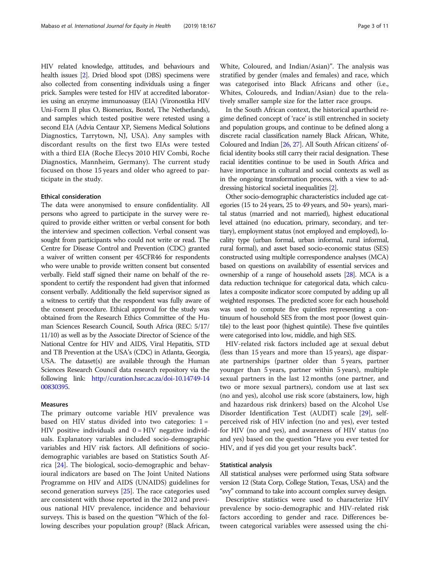HIV related knowledge, attitudes, and behaviours and health issues [\[2\]](#page-9-0). Dried blood spot (DBS) specimens were also collected from consenting individuals using a finger prick. Samples were tested for HIV at accredited laboratories using an enzyme immunoassay (EIA) (Vironostika HIV Uni-Form II plus O, Biomeriux, Boxtel, The Netherlands), and samples which tested positive were retested using a second EIA (Advia Centaur XP, Siemens Medical Solutions Diagnostics, Tarrytown, NJ, USA). Any samples with discordant results on the first two EIAs were tested with a third EIA (Roche Elecys 2010 HIV Combi, Roche Diagnostics, Mannheim, Germany). The current study focused on those 15 years and older who agreed to participate in the study.

## Ethical consideration

The data were anonymised to ensure confidentiality. All persons who agreed to participate in the survey were required to provide either written or verbal consent for both the interview and specimen collection. Verbal consent was sought from participants who could not write or read. The Centre for Disease Control and Prevention (CDC) granted a waiver of written consent per 45CFR46 for respondents who were unable to provide written consent but consented verbally. Field staff signed their name on behalf of the respondent to certify the respondent had given that informed consent verbally. Additionally the field supervisor signed as a witness to certify that the respondent was fully aware of the consent procedure. Ethical approval for the study was obtained from the Research Ethics Committee of the Human Sciences Research Council, South Africa (REC: 5/17/ 11/10) as well as by the Associate Director of Science of the National Centre for HIV and AIDS, Viral Hepatitis, STD and TB Prevention at the USA's (CDC) in Atlanta, Georgia, USA. The dataset(s) are available through the Human Sciences Research Council data research repository via the following link: [http://curation.hsrc.ac.za/doi-10.14749-14](http://curation.hsrc.ac.za/doi-10.14749-1400830395) [00830395](http://curation.hsrc.ac.za/doi-10.14749-1400830395).

## Measures

The primary outcome variable HIV prevalence was based on HIV status divided into two categories:  $1 =$ HIV positive individuals and  $0 = HIV$  negative individuals. Explanatory variables included socio-demographic variables and HIV risk factors. All definitions of sociodemographic variables are based on Statistics South Africa [[24\]](#page-10-0). The biological, socio-demographic and behavioural indicators are based on The Joint United Nations Programme on HIV and AIDS (UNAIDS) guidelines for second generation surveys [[25](#page-10-0)]. The race categories used are consistent with those reported in the 2012 and previous national HIV prevalence, incidence and behaviour surveys. This is based on the question "Which of the following describes your population group? (Black African, White, Coloured, and Indian/Asian)". The analysis was stratified by gender (males and females) and race, which was categorised into Black Africans and other (i.e., Whites, Coloureds, and Indian/Asian) due to the relatively smaller sample size for the latter race groups.

In the South African context, the historical apartheid regime defined concept of 'race' is still entrenched in society and population groups, and continue to be defined along a discrete racial classification namely Black African, White, Coloured and Indian [[26](#page-10-0), [27](#page-10-0)]. All South African citizens' official identity books still carry their racial designation. These racial identities continue to be used in South Africa and have importance in cultural and social contexts as well as in the ongoing transformation process, with a view to addressing historical societal inequalities [[2\]](#page-9-0).

Other socio-demographic characteristics included age categories (15 to 24 years, 25 to 49 years, and 50+ years), marital status (married and not married), highest educational level attained (no education, primary, secondary, and tertiary), employment status (not employed and employed), locality type (urban formal, urban informal, rural informal, rural formal), and asset based socio-economic status (SES) constructed using multiple correspondence analyses (MCA) based on questions on availability of essential services and ownership of a range of household assets [[28\]](#page-10-0). MCA is a data reduction technique for categorical data, which calculates a composite indicator score computed by adding up all weighted responses. The predicted score for each household was used to compute five quintiles representing a continuum of household SES from the most poor (lowest quintile) to the least poor (highest quintile). These five quintiles were categorised into low, middle, and high SES.

HIV-related risk factors included age at sexual debut (less than 15 years and more than 15 years), age disparate partnerships (partner older than 5 years, partner younger than 5 years, partner within 5 years), multiple sexual partners in the last 12 months (one partner, and two or more sexual partners), condom use at last sex (no and yes), alcohol use risk score (abstainers, low, high and hazardous risk drinkers) based on the Alcohol Use Disorder Identification Test (AUDIT) scale [[29\]](#page-10-0), selfperceived risk of HIV infection (no and yes), ever tested for HIV (no and yes), and awareness of HIV status (no and yes) based on the question "Have you ever tested for HIV, and if yes did you get your results back".

## Statistical analysis

All statistical analyses were performed using Stata software version 12 (Stata Corp, College Station, Texas, USA) and the "svy" command to take into account complex survey design.

Descriptive statistics were used to characterize HIV prevalence by socio-demographic and HIV-related risk factors according to gender and race. Differences between categorical variables were assessed using the chi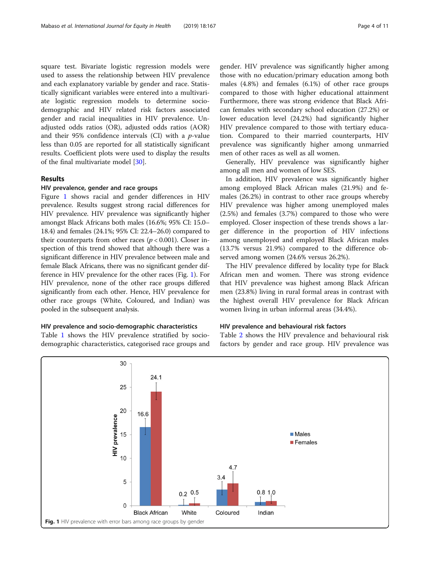square test. Bivariate logistic regression models were used to assess the relationship between HIV prevalence and each explanatory variable by gender and race. Statistically significant variables were entered into a multivariate logistic regression models to determine sociodemographic and HIV related risk factors associated gender and racial inequalities in HIV prevalence. Unadjusted odds ratios (OR), adjusted odds ratios (AOR) and their 95% confidence intervals (CI) with a  $p$ -value less than 0.05 are reported for all statistically significant results. Coefficient plots were used to display the results of the final multivariate model [[30](#page-10-0)].

## Results

## HIV prevalence, gender and race groups

Figure 1 shows racial and gender differences in HIV prevalence. Results suggest strong racial differences for HIV prevalence. HIV prevalence was significantly higher amongst Black Africans both males (16.6%; 95% CI: 15.0– 18.4) and females (24.1%; 95% CI: 22.4–26.0) compared to their counterparts from other races ( $p < 0.001$ ). Closer inspection of this trend showed that although there was a significant difference in HIV prevalence between male and female Black Africans, there was no significant gender difference in HIV prevalence for the other races (Fig. 1). For HIV prevalence, none of the other race groups differed significantly from each other. Hence, HIV prevalence for other race groups (White, Coloured, and Indian) was pooled in the subsequent analysis.

## HIV prevalence and socio-demographic characteristics

Table [1](#page-4-0) shows the HIV prevalence stratified by sociodemographic characteristics, categorised race groups and gender. HIV prevalence was significantly higher among those with no education/primary education among both males (4.8%) and females (6.1%) of other race groups compared to those with higher educational attainment Furthermore, there was strong evidence that Black African females with secondary school education (27.2%) or lower education level (24.2%) had significantly higher HIV prevalence compared to those with tertiary education. Compared to their married counterparts, HIV prevalence was significantly higher among unmarried men of other races as well as all women.

Generally, HIV prevalence was significantly higher among all men and women of low SES.

In addition, HIV prevalence was significantly higher among employed Black African males (21.9%) and females (26.2%) in contrast to other race groups whereby HIV prevalence was higher among unemployed males (2.5%) and females (3.7%) compared to those who were employed. Closer inspection of these trends shows a larger difference in the proportion of HIV infections among unemployed and employed Black African males (13.7% versus 21.9%) compared to the difference observed among women (24.6% versus 26.2%).

The HIV prevalence differed by locality type for Black African men and women. There was strong evidence that HIV prevalence was highest among Black African men (23.8%) living in rural formal areas in contrast with the highest overall HIV prevalence for Black African women living in urban informal areas (34.4%).

## HIV prevalence and behavioural risk factors

Table [2](#page-5-0) shows the HIV prevalence and behavioural risk factors by gender and race group. HIV prevalence was

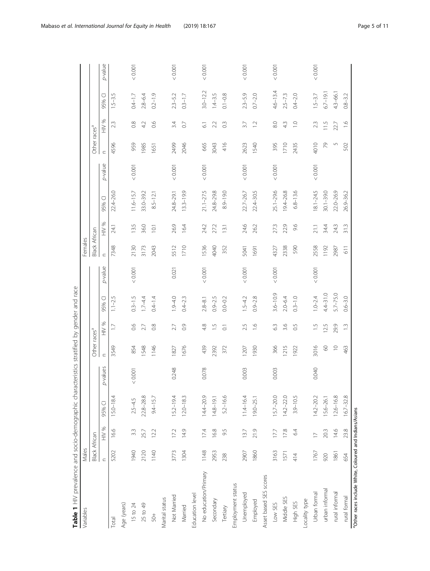<span id="page-4-0"></span>

| <b>THE LANGER CONSTRUCTION CONTACT CONSTRUCT OF A SERVICE AND DESCRIPTION OF A SERVICE AND DESCRIPTION OF A SERVICE AND DESCRIPTION OF A SERVICE AND DESCRIPTION OF A SERVICE AND DESCRIPTION OF A SERVICE AND DESCRIPTION OF A </b><br>Variables | Males                |                |               |          |                          |                    | diu late     |         | Females              |                |               |         |                          |                     |              |         |
|---------------------------------------------------------------------------------------------------------------------------------------------------------------------------------------------------------------------------------------------------|----------------------|----------------|---------------|----------|--------------------------|--------------------|--------------|---------|----------------------|----------------|---------------|---------|--------------------------|---------------------|--------------|---------|
|                                                                                                                                                                                                                                                   | <b>Black African</b> |                |               |          | Other races <sup>a</sup> |                    |              |         | <b>Black African</b> |                |               |         | Other races <sup>a</sup> |                     |              |         |
|                                                                                                                                                                                                                                                   | $\subset$            | HIV %          | 95% CI        | p-values | $\subset$                | HIV %              | 95% CI       | p-value | $\subset$            | HIV %          | 95% CI        | p-value | $\subset$                | HIV %               | 95% CI       | p-value |
| <b>Total</b>                                                                                                                                                                                                                                      | 5202                 | 16.6           | 15.0-18.4     |          | 3549                     | $\Box$             | $1.1 - 2.5$  |         | 7348                 | 24.1           | 22.4-26.0     |         | 4596                     | 2.3                 | $1.5 - 3.5$  |         |
| Age (years)                                                                                                                                                                                                                                       |                      |                |               |          |                          |                    |              |         |                      |                |               |         |                          |                     |              |         |
| 15 to 24                                                                                                                                                                                                                                          | 1940                 | 3.3            | $2.5 - 4.5$   | 0.001    | 854                      | 80                 | $0.3 - 1.5$  | 0.001   | 2130                 | 13.5           | $11.6 - 15.7$ | 0.001   | 959                      | $\frac{8}{2}$       | $0.4 - 1.7$  | < 0.001 |
| 25 to 49                                                                                                                                                                                                                                          | 2120                 | 25.7           | $22.8 - 28.8$ |          | <b>1548</b>              | 27                 | $1.7 - 4.4$  |         | 3173                 | 36.0           | 33.0-39.2     |         | 1985                     | 42                  | $2.8 - 6.4$  |         |
| $50+$                                                                                                                                                                                                                                             | 1140                 | 12.2           | $9.4 - 15.7$  |          | 1146                     | $\frac{8}{2}$      | $0.4 - 1.4$  |         | 2043                 | $\overline{O}$ | $8.5 - 12.1$  |         | 1651                     | 0.6                 | $0.2 - 1.9$  |         |
| Marital status                                                                                                                                                                                                                                    |                      |                |               |          |                          |                    |              |         |                      |                |               |         |                          |                     |              |         |
| Not Married                                                                                                                                                                                                                                       | 3773                 | 17.2           | $15.2 - 19.4$ | 0.248    | 1827                     | 27                 | $0.9 - 4.0$  | 0.021   | 5512                 | 26.9           | $24.8 - 29.1$ | < 0.001 | 2499                     | 3.4                 | $2.3 - 5.2$  | < 0.001 |
| Married                                                                                                                                                                                                                                           | 1304                 | 14.9           | $12.0 - 18.3$ |          | 1676                     | $\overline{0}$     | $0.4 - 2.3$  |         | 1710                 | 16.4           | $13.3 - 19.9$ |         | 2046                     | $\overline{0}$      | $0.3 - 1.7$  |         |
| Education level                                                                                                                                                                                                                                   |                      |                |               |          |                          |                    |              |         |                      |                |               |         |                          |                     |              |         |
| No education/Primary                                                                                                                                                                                                                              | 1148                 | 17.4           | $14.4 - 20.9$ | 0.078    | 439                      | 4.8                | $2.8 - 8.1$  | 0.001   | 1536                 | 24.2           | $21.1 - 27.5$ | < 0.001 | 665                      | $\overline{6}$      | $3.0 - 12.2$ | < 0.001 |
| Secondary                                                                                                                                                                                                                                         | 2953                 | 16.8           | $14.8 - 19.1$ |          | 2392                     | $\frac{5}{1}$      | $0.9 - 2.5$  |         | 4040                 | 27.2           | 24.8-29.8     |         | 3043                     | 2.2                 | $1.4 - 3.5$  |         |
| Tertiary                                                                                                                                                                                                                                          | 238                  | 9.5            | 5.2-16.6      |          | 372                      | $\overline{\circ}$ | $0.0 - 0.2$  |         | 352                  | 13.1           | 8.9-19.0      |         | 416                      | $\widetilde{\circ}$ | $0.1 - 0.8$  |         |
| Employment status                                                                                                                                                                                                                                 |                      |                |               |          |                          |                    |              |         |                      |                |               |         |                          |                     |              |         |
| Unemployed                                                                                                                                                                                                                                        | 2907                 | 13.7           | $11.4 - 16.4$ | 0.003    | 1207                     | 25                 | $1.5 - 4.2$  | 0.001   | 5041                 | 24.6           | 22.7 - 26.7   | 0.001   | 2623                     | 37                  | $2.3 - 5.9$  | 0.001   |
| Employed                                                                                                                                                                                                                                          | 1860                 | 21.9           | $19.0 - 25.1$ |          | 1930                     | $\frac{6}{1}$      | $0.9 - 2.8$  |         | 1691                 | 26.2           | $22.4 - 30.5$ |         | 1540                     | $\overline{12}$     | $0.7 - 2.0$  |         |
| Asset based SES scores                                                                                                                                                                                                                            |                      |                |               |          |                          |                    |              |         |                      |                |               |         |                          |                     |              |         |
| Low SES                                                                                                                                                                                                                                           | 3163                 | 17.7           | $15.7 - 20.0$ | 0.003    | 366                      | 63                 | $3.6 - 10.9$ | 0.001   | 4327                 | 27.3           | $25.1 - 29.6$ | < 0.001 | 395                      | 8.0                 | $4.6 - 13.4$ | < 0.001 |
| Middle SES                                                                                                                                                                                                                                        | 1571                 | 17.8           | $14.2 - 22.0$ |          | 1215                     | 3.6                | $2.0 - 6.4$  |         | 2338                 | 22.9           | 19.4-26.8     |         | 1710                     | 4.3                 | $2.5 - 7.3$  |         |
| High SES                                                                                                                                                                                                                                          | 414                  | 64             | $3.9 - 10.5$  |          | 1922                     | $\overline{0}$     | $0.3 - 1.0$  |         | 590                  | 9.6            | $6.8 - 13.6$  |         | 2435                     | $\overline{a}$      | $0.4 - 2.0$  |         |
| Locality type                                                                                                                                                                                                                                     |                      |                |               |          |                          |                    |              |         |                      |                |               |         |                          |                     |              |         |
| Urban formal                                                                                                                                                                                                                                      | 1767                 | $\overline{1}$ | $14.2 - 20.2$ | 0.040    | 3016                     | $\frac{5}{1}$      | $1.0 - 2.4$  | 0.001   | 2558                 | 21.1           | $18.1 - 24.5$ | < 0.001 | 4010                     | 2.3                 | $1.5 - 3.7$  | < 0.001 |
| urban informal                                                                                                                                                                                                                                    | 920                  | 20.3           | 15.6-26.1     |          | $\odot$                  | 125                | $4.4 - 31.0$ |         | 1192                 | 34.4           | $30.1 - 39.0$ |         | 56                       | 115                 | $6.7 - 19.1$ |         |
| rural informal                                                                                                                                                                                                                                    | 1861                 | 14.6           | $12.6 - 16.8$ |          | $\supseteq$              | 29.9               | $5.7 - 75.0$ |         | 2987                 | 24.3           | 22.0-26.9     |         | 5                        | 22.7                | $4.3 - 66.1$ |         |
| rural formal                                                                                                                                                                                                                                      | 654                  | 23.8           | $16.7 - 32.8$ |          | 463                      | $\frac{3}{2}$      | $0.6 - 3.0$  |         | 611                  | 31.3           | 26.9-36.2     |         | 502                      | $\frac{6}{1}$       | $0.8 - 3.2$  |         |
| <sup>a</sup> Other races include White, Coloured and Indians/Asians                                                                                                                                                                               |                      |                |               |          |                          |                    |              |         |                      |                |               |         |                          |                     |              |         |

eler haf anden van heiliteits Table 1 HIV prevalence and socio-demographic characteristics stratified by gender and race ooraphic characterice Table 1 HIV prevalence and socio-dem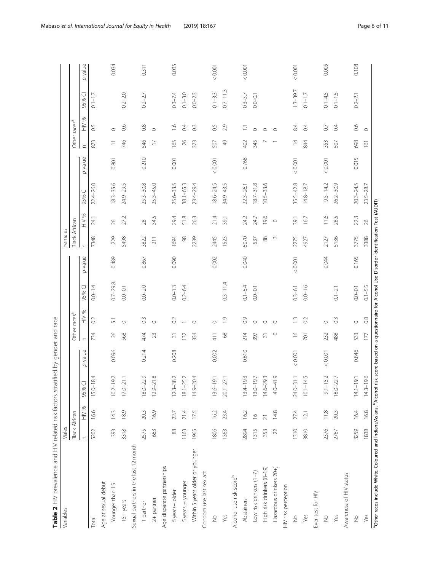<span id="page-5-0"></span>

| <b>E</b> A LIN KIND SCOLUMN AND DESCRIPTION OF THE PROPERTY OF THE SERVICE CONDUCTS OF THE SERVICE CONDUCTS OF THE SERVICE CONDUCTS OF THE SERVICE CONDUCTS OF THE SERVICE CONDUCTS.<br>Variables<br>è | Males                     |                 |                    |         | yulud Dhina      |                          |              |         | Females              |                 |               |         |                  |                          |              |         |
|--------------------------------------------------------------------------------------------------------------------------------------------------------------------------------------------------------|---------------------------|-----------------|--------------------|---------|------------------|--------------------------|--------------|---------|----------------------|-----------------|---------------|---------|------------------|--------------------------|--------------|---------|
|                                                                                                                                                                                                        | <b>Black African</b>      |                 |                    |         |                  | Other races <sup>a</sup> |              |         | <b>Black African</b> |                 |               |         |                  | Other races <sup>a</sup> |              |         |
|                                                                                                                                                                                                        | $\subset$                 | HIV %           | 95% CI             | p-value | $\subset$        | HIV %                    | 95% CI       | p-value | $\subset$            | HIV %           | 95% CI        | p-value | $\subset$        | HIV %                    | 95% CI       | p-value |
| $ $ <sub>ota</sub> $ $                                                                                                                                                                                 | 5202                      | 16.6            | 84<br>$15.0 - 1$   |         | 734              | $\overline{O}$           | $0.0 - 1.4$  |         | 7348                 | 24.1            | 22.4-26.0     |         | 873              | $\overline{0}$           | $0.1 - 1.7$  |         |
| Age at sexual debut                                                                                                                                                                                    |                           |                 |                    |         |                  |                          |              |         |                      |                 |               |         |                  |                          |              |         |
| Younger than 15                                                                                                                                                                                        | 393                       | 14.3            | 5.6<br>$10.2 - 1$  | 0.096   | $\beta$          | $\overline{5}$           | $0.7 - 29.8$ | 0.489   | 229                  | 26              | $8.3 - 35.6$  | 0.801   | $\equiv$         | $\circ$                  |              | 0.034   |
| 15+ years                                                                                                                                                                                              | 3318                      | 18.9            | $17.0 - 21.1$      |         | 568              | $\circ$                  | $0.0 - 0.1$  |         | 5498                 | 27.2            | 24.9-29.5     |         | 746              | 0.6                      | $0.2 - 2.0$  |         |
| Sexual partners in the last 12 month                                                                                                                                                                   |                           |                 |                    |         |                  |                          |              |         |                      |                 |               |         |                  |                          |              |         |
| 1 partner                                                                                                                                                                                              | 2575                      | 20.3            | 18.0-22.9          | 0.214   | 474              | $\degree$                | $0.0 - 2.0$  | 0.867   | 3822                 | 28              | $25.3 - 30.8$ | 0.210   | 546              | $\frac{8}{2}$            | $0.2 - 2.7$  | 0.311   |
| 2+ partner                                                                                                                                                                                             | 663                       | 16.9            | $12.9 - 21.8$      |         | 23               | $\circ$                  |              |         | 211                  | 34.5            | $25.3 - 45.0$ |         | $\overline{1}$   | $\circ$                  |              |         |
| Age disparate partnerships                                                                                                                                                                             |                           |                 |                    |         |                  |                          |              |         |                      |                 |               |         |                  |                          |              |         |
| 5years+older                                                                                                                                                                                           | $\frac{8}{8}$             | 22.7            | $12.3 - 38.2$      | 0.208   | $\overline{3}$   | $\approx$                | $0.0 - 1.3$  | 0.090   | 1694                 | 29.4            | $25.6 - 33.5$ | 0.001   | 165              | $\frac{6}{1}$            | $0.3 - 7.4$  | 0.035   |
| 5 years + younger                                                                                                                                                                                      | 1163                      | 21.4            | $18.1 - 25.2$      |         | 132              |                          | $0.2 - 6.4$  |         | $98$                 | 51.8            | $38.1 - 65.3$ |         | 26               | $\overline{0}$           | $0.1 - 3.0$  |         |
| Within 5 years older or younger                                                                                                                                                                        | 1965                      | 175             | $14.9 - 20.4$      |         | 334              | $\circ$                  |              |         | 2239                 | 26.3            | $23.4 - 29.4$ |         | 373              | $\widetilde{\mathrm{C}}$ | $0.0 - 2.3$  |         |
| Condom use last sex act                                                                                                                                                                                |                           |                 |                    |         |                  |                          |              |         |                      |                 |               |         |                  |                          |              |         |
| $\frac{1}{2}$                                                                                                                                                                                          | 1806                      | 16.2            | $13.6 - 19.1$      | 0.002   | 411              | $\circ$                  |              | 0.002   | 2445                 | 21.4            | $18.6 - 24.5$ | 10000   | 507              | 65                       | $0.1 - 3.3$  | 10000   |
| Yes                                                                                                                                                                                                    | 1363                      | 23.4            | $20.1 - 27.1$      |         | $8^{\circ}$      | $\overline{0}$           | $0.3 - 11.4$ |         | 1523                 | 39.1            | 34.9-43.5     |         | $\frac{1}{6}$    | 2.9                      | $0.7 - 11.3$ |         |
| Alcohol use risk scoreb                                                                                                                                                                                |                           |                 |                    |         |                  |                          |              |         |                      |                 |               |         |                  |                          |              |         |
| Abstainers                                                                                                                                                                                             | 2894                      | 16.2            | 9.3<br>$13.4 - 19$ | 0.610   | 214              | $\overline{O}$           | $0.1 - 5.4$  | 0.040   | 6070                 | 24.2            | $22.3 - 26.1$ | 0.768   | 402              | Ξ                        | $0.3 - 3.7$  | < 0.001 |
| Low risk drinkers (1-7)                                                                                                                                                                                | 1315                      | $\frac{8}{1}$   | 5.6<br>$13.0 - 19$ |         | 397              | $\circ$                  | $0.0 - 0.1$  |         | 537                  | 24.7            | $18.7 - 31.8$ |         | 345              | $\circ$                  | $0.0 - 0.1$  |         |
| High risk drinkers (8-19)                                                                                                                                                                              | 353                       | $\overline{21}$ | $14.6 - 29.3$      |         | $\overline{31}$  | $\circ$                  |              |         | $88$                 | 19.6            | $10.5 - 33.6$ |         |                  | $\circ$                  |              |         |
| Hazardous drinkers 20+)                                                                                                                                                                                | $\widetilde{\mathcal{L}}$ | 14.8            | $4.0 - 41.9$       |         | $\circ$          | $\circ$                  |              |         | $\sim$               | $\circ$         |               |         |                  | $\circ$                  |              |         |
| HIV risk perception                                                                                                                                                                                    |                           |                 |                    |         |                  |                          |              |         |                      |                 |               |         |                  |                          |              |         |
| $\frac{1}{2}$                                                                                                                                                                                          | 1310                      | 27.4            | $24.0 - 31.1$      | < 0.001 | $\frac{8}{10}$   | $\frac{1}{2}$            | $0.3 - 6.1$  | < 0.001 | 2275                 | 39.1            | $35.5 - 42.8$ | < 0.001 | $\overline{4}$   | 8.4                      | $1.3 - 39.7$ | < 0.001 |
| Yes                                                                                                                                                                                                    | 3810                      | 12.1            | 4.5<br>$10.1 - 1$  |         | $\overline{701}$ | 0.2                      | $0.0 - 1.6$  |         | 4927                 | 16.7            | $14.8 - 18.7$ |         | 844              | 0.4                      | $0.1 - 1.7$  |         |
| Ever test for HIV                                                                                                                                                                                      |                           |                 |                    |         |                  |                          |              |         |                      |                 |               |         |                  |                          |              |         |
| $\frac{1}{2}$                                                                                                                                                                                          | 2376                      | 11.8            | 5.2<br>$9.1 - 1!$  | < 0.001 | 232              | $\circ$                  |              | 0.044   | 2127                 | 11.6            | $9.5 - 14.2$  | 10000   | 353              | $\overline{0}$           | $0.1 - 4.5$  | 0.005   |
| Yes                                                                                                                                                                                                    | 2767                      | 20.3            | 18.0-22.7          |         | 488              | 0.3                      | $0.1 - 2.1$  |         | 5136                 | 28.5            | $26.2 - 30.9$ |         | 507              | 0.4                      | $0.1 - 1.5$  |         |
| Awareness of HIV status                                                                                                                                                                                |                           |                 |                    |         |                  |                          |              |         |                      |                 |               |         |                  |                          |              |         |
| $\frac{1}{2}$                                                                                                                                                                                          | 3259                      | 16.4            | $14.1 - 19.1$      | 0.846   | 533              | $\circ$                  | $0.0 - 0.1$  | 0.165   | 3775                 | 22.3            | $20.3 - 24.5$ | 0.015   | 698              | 0.6                      | $0.2 - 2.1$  | 0.108   |
| Yes                                                                                                                                                                                                    | 1838                      | 16.8            | 9.6<br>$14.3 - 19$ |         | 177              | 0.8                      | $0.1 - 5.5$  |         | 3388                 | $\overline{26}$ | $23.5 - 28.7$ |         | $\overline{161}$ | $\circ$                  |              |         |
| "Other races include White, Coloured and Indians/Asians, "Alcohol risk score based on a questionnaire for Alcohol Use Disorder Identification Test (AUDIT)                                             |                           |                 |                    |         |                  |                          |              |         |                      |                 |               |         |                  |                          |              |         |

Table 2 HIV prevalence and HIV related risk factors stratified by gender and race Table 2 HIV prevalence and HIV related risk factors stratified by gender and race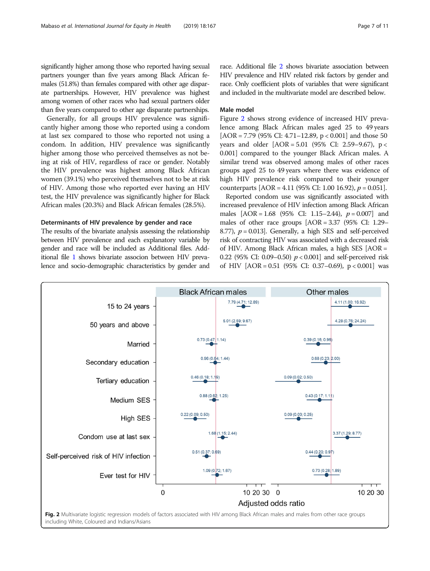significantly higher among those who reported having sexual partners younger than five years among Black African females (51.8%) than females compared with other age disparate partnerships. However, HIV prevalence was highest among women of other races who had sexual partners older than five years compared to other age disparate partnerships.

Generally, for all groups HIV prevalence was significantly higher among those who reported using a condom at last sex compared to those who reported not using a condom. In addition, HIV prevalence was significantly higher among those who perceived themselves as not being at risk of HIV, regardless of race or gender. Notably the HIV prevalence was highest among Black African women (39.1%) who perceived themselves not to be at risk of HIV. Among those who reported ever having an HIV test, the HIV prevalence was significantly higher for Black African males (20.3%) and Black African females (28.5%).

## Determinants of HIV prevalence by gender and race

The results of the bivariate analysis assessing the relationship between HIV prevalence and each explanatory variable by gender and race will be included as Additional files. Additional file [1](#page-9-0) shows bivariate associon between HIV prevalence and socio-demographic characteristics by gender and

race. Additional file [2](#page-9-0) shows bivariate association between HIV prevalence and HIV related risk factors by gender and race. Only coefficient plots of variables that were significant and included in the multivariate model are described below.

## Male model

Figure 2 shows strong evidence of increased HIV prevalence among Black African males aged 25 to 49 years [AOR = 7.79 (95% CI: 4.71–12.89,  $p < 0.001$ ] and those 50 years and older [AOR = 5.01 (95% CI: 2.59–9.67), p < 0.001] compared to the younger Black African males. A similar trend was observed among males of other races groups aged 25 to 49 years where there was evidence of high HIV prevalence risk compared to their younger counterparts  $[AOR = 4.11 (95\% CI: 1.00 16.92), p = 0.051].$ 

Reported condom use was significantly associated with increased prevalence of HIV infection among Black African males  $[AOR = 1.68 (95\% CI: 1.15-2.44), p = 0.007]$  and males of other race groups  $[AOR = 3.37 \ (95\% \ CI: 1.29 -$ 8.77),  $p = 0.013$ . Generally, a high SES and self-perceived risk of contracting HIV was associated with a decreased risk of HIV. Among Black African males, a high SES [AOR = 0.22 (95% CI: 0.09–0.50)  $p < 0.001$  and self-perceived risk of HIV  $[AOR = 0.51 (95\% CI: 0.37-0.69), p < 0.001]$  was

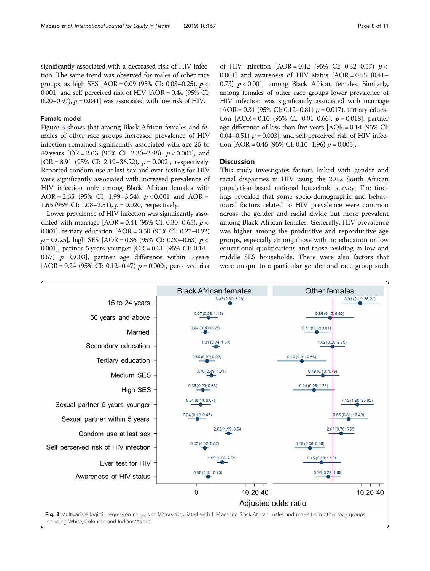significantly associated with a decreased risk of HIV infection. The same trend was observed for males of other race groups, as high SES  $[AOR = 0.09 (95\% CI: 0.03-0.25), p <$ 0.001] and self-perceived risk of HIV [AOR = 0.44 (95% CI: 0.20–0.97),  $p = 0.041$  was associated with low risk of HIV.

## Female model

Figure 3 shows that among Black African females and females of other race groups increased prevalence of HIV infection remained significantly associated with age 25 to 49 years  $[OR = 3.03 (95\% CI: 2.30-3.98), p < 0.001]$ , and [OR = 8.91 (95% CI: 2.19–36.22),  $p = 0.002$ ], respectively. Reported condom use at last sex and ever testing for HIV were significantly associated with increased prevalence of HIV infection only among Black African females with AOR = 2.65 (95% CI: 1.99–3.54),  $p < 0.001$  and AOR = 1.65 (95% CI: 1.08–2.51),  $p = 0.020$ , respectively.

Lower prevalence of HIV infection was significantly associated with marriage  $[AOR = 0.44 (95\% CI: 0.30-0.65), p <$ 0.001], tertiary education [AOR = 0.50 (95% CI: 0.27–0.92)  $p = 0.025$ , high SES [AOR = 0.36 (95% CI: 0.20–0.63)  $p <$ 0.001], partner 5 years younger [OR = 0.31 (95% CI: 0.14– 0.67)  $p = 0.003$ , partner age difference within 5 years  $[AOR = 0.24 (95\% CI: 0.12-0.47)$   $p = 0.000$ , perceived risk of HIV infection  $[AOR = 0.42 (95\% \text{ CI: } 0.32 - 0.57) p <$ 0.001] and awareness of HIV status  $[AOR = 0.55 (0.41 -$ 0.73)  $p < 0.001$  among Black African females. Similarly, among females of other race groups lower prevalence of HIV infection was significantly associated with marriage [AOR = 0.31 (95% CI: 0.12–0.81)  $p = 0.017$ ), tertiary education  $[AOR = 0.10 (95\% CI: 0.01 0.66), p = 0.018]$ , partner age difference of less than five years  $[AOR = 0.14 \ (95\% \ CI:$ 0.04–0.51)  $p = 0.003$ , and self-perceived risk of HIV infection  $[AOR = 0.45 (95\% CI: 0.10-1.96) p = 0.005]$ .

## **Discussion**

This study investigates factors linked with gender and racial disparities in HIV using the 2012 South African population-based national household survey. The findings revealed that some socio-demographic and behavioural factors related to HIV prevalence were common across the gender and racial divide but more prevalent among Black African females. Generally, HIV prevalence was higher among the productive and reproductive age groups, especially among those with no education or low educational qualifications and those residing in low and middle SES households. There were also factors that were unique to a particular gender and race group such

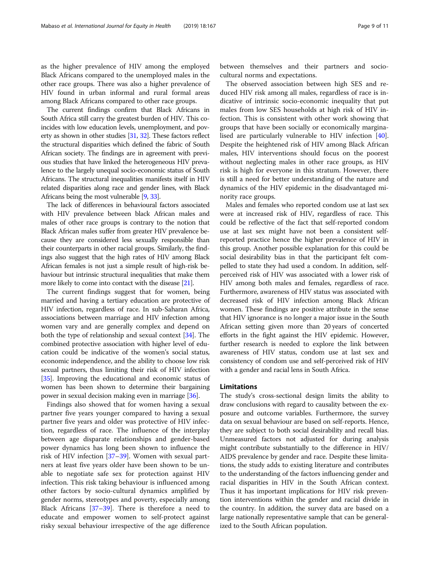as the higher prevalence of HIV among the employed Black Africans compared to the unemployed males in the other race groups. There was also a higher prevalence of HIV found in urban informal and rural formal areas among Black Africans compared to other race groups.

The current findings confirm that Black Africans in South Africa still carry the greatest burden of HIV. This coincides with low education levels, unemployment, and poverty as shown in other studies [[31](#page-10-0), [32](#page-10-0)]. These factors reflect the structural disparities which defined the fabric of South African society. The findings are in agreement with previous studies that have linked the heterogeneous HIV prevalence to the largely unequal socio-economic status of South Africans. The structural inequalities manifests itself in HIV related disparities along race and gender lines, with Black Africans being the most vulnerable [\[9,](#page-10-0) [33\]](#page-10-0).

The lack of differences in behavioural factors associated with HIV prevalence between black African males and males of other race groups is contrary to the notion that Black African males suffer from greater HIV prevalence because they are considered less sexually responsible than their counterparts in other racial groups. Similarly, the findings also suggest that the high rates of HIV among Black African females is not just a simple result of high-risk behaviour but intrinsic structural inequalities that make them more likely to come into contact with the disease [\[21\]](#page-10-0).

The current findings suggest that for women, being married and having a tertiary education are protective of HIV infection, regardless of race. In sub-Saharan Africa, associations between marriage and HIV infection among women vary and are generally complex and depend on both the type of relationship and sexual context [[34](#page-10-0)]. The combined protective association with higher level of education could be indicative of the women's social status, economic independence, and the ability to choose low risk sexual partners, thus limiting their risk of HIV infection [[35](#page-10-0)]. Improving the educational and economic status of women has been shown to determine their bargaining power in sexual decision making even in marriage [\[36\]](#page-10-0).

Findings also showed that for women having a sexual partner five years younger compared to having a sexual partner five years and older was protective of HIV infection, regardless of race. The influence of the interplay between age disparate relationships and gender-based power dynamics has long been shown to influence the risk of HIV infection [[37](#page-10-0)–[39](#page-10-0)]. Women with sexual partners at least five years older have been shown to be unable to negotiate safe sex for protection against HIV infection. This risk taking behaviour is influenced among other factors by socio-cultural dynamics amplified by gender norms, stereotypes and poverty, especially among Black Africans [[37](#page-10-0)–[39\]](#page-10-0). There is therefore a need to educate and empower women to self-protect against risky sexual behaviour irrespective of the age difference

between themselves and their partners and sociocultural norms and expectations.

The observed association between high SES and reduced HIV risk among all males, regardless of race is indicative of intrinsic socio-economic inequality that put males from low SES households at high risk of HIV infection. This is consistent with other work showing that groups that have been socially or economically marginalised are particularly vulnerable to HIV infection [\[40](#page-10-0)]. Despite the heightened risk of HIV among Black African males, HIV interventions should focus on the poorest without neglecting males in other race groups, as HIV risk is high for everyone in this stratum. However, there is still a need for better understanding of the nature and dynamics of the HIV epidemic in the disadvantaged minority race groups.

Males and females who reported condom use at last sex were at increased risk of HIV, regardless of race. This could be reflective of the fact that self-reported condom use at last sex might have not been a consistent selfreported practice hence the higher prevalence of HIV in this group. Another possible explanation for this could be social desirability bias in that the participant felt compelled to state they had used a condom. In addition, selfperceived risk of HIV was associated with a lower risk of HIV among both males and females, regardless of race. Furthermore, awareness of HIV status was associated with decreased risk of HIV infection among Black African women. These findings are positive attribute in the sense that HIV ignorance is no longer a major issue in the South African setting given more than 20 years of concerted efforts in the fight against the HIV epidemic. However, further research is needed to explore the link between awareness of HIV status, condom use at last sex and consistency of condom use and self-perceived risk of HIV with a gender and racial lens in South Africa.

## Limitations

The study's cross-sectional design limits the ability to draw conclusions with regard to causality between the exposure and outcome variables. Furthermore, the survey data on sexual behaviour are based on self-reports. Hence, they are subject to both social desirability and recall bias. Unmeasured factors not adjusted for during analysis might contribute substantially to the difference in HIV/ AIDS prevalence by gender and race. Despite these limitations, the study adds to existing literature and contributes to the understanding of the factors influencing gender and racial disparities in HIV in the South African context. Thus it has important implications for HIV risk prevention interventions within the gender and racial divide in the country. In addition, the survey data are based on a large nationally representative sample that can be generalized to the South African population.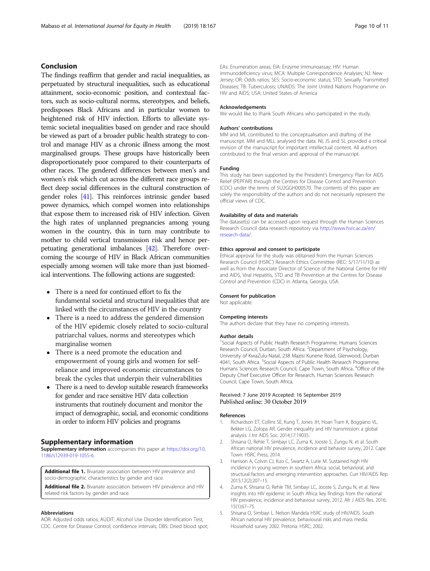## <span id="page-9-0"></span>Conclusion

The findings reaffirm that gender and racial inequalities, as perpetuated by structural inequalities, such as educational attainment, socio-economic position, and contextual factors, such as socio-cultural norms, stereotypes, and beliefs, predisposes Black Africans and in particular women to heightened risk of HIV infection. Efforts to alleviate systemic societal inequalities based on gender and race should be viewed as part of a broader public health strategy to control and manage HIV as a chronic illness among the most marginalised groups. These groups have historically been disproportionately poor compared to their counterparts of other races. The gendered differences between men's and women's risk which cut across the different race groups reflect deep social differences in the cultural construction of gender roles [\[41](#page-10-0)]. This reinforces intrinsic gender based power dynamics, which compel women into relationships that expose them to increased risk of HIV infection. Given the high rates of unplanned pregnancies among young women in the country, this in turn may contribute to mother to child vertical transmission risk and hence perpetuating generational imbalances [\[42\]](#page-10-0). Therefore overcoming the scourge of HIV in Black African communities especially among women will take more than just biomedical interventions. The following actions are suggested:

- There is a need for continued effort to fix the fundamental societal and structural inequalities that are linked with the circumstances of HIV in the country
- There is a need to address the gendered dimension of the HIV epidemic closely related to socio-cultural patriarchal values, norms and stereotypes which marginalise women
- There is a need promote the education and empowerment of young girls and women for selfreliance and improved economic circumstances to break the cycles that underpin their vulnerabilities
- There is a need to develop suitable research frameworks for gender and race sensitive HIV data collection instruments that routinely document and monitor the impact of demographic, social, and economic conditions in order to inform HIV policies and programs

## Supplementary information

Supplementary information accompanies this paper at [https://doi.org/10.](https://doi.org/10.1186/s12939-019-1055-6) [1186/s12939-019-1055-6.](https://doi.org/10.1186/s12939-019-1055-6)

Additional file 1. Bivariate association between HIV prevalence and socio-demographic characteristics by gender and race.

Additional file 2. Bivariate association between HIV prevalence and HIV related risk factors by gender and race.

#### Abbreviations

AOR: Adjusted odds ratios; AUDIT: Alcohol Use Disorder Identification Test; CDC: Centre for Disease Control; confidence intervals; DBS: Dried blood spot; EAs: Enumeration areas; EIA: Enzyme immunoassay; HIV: Human immunodeficiency virus; MCA: Multiple Correspondence Analyses; NJ: New Jersey; OR: Odds ratios; SES: Socio-economic status; STD: Sexually Transmitted Diseases; TB: Tuberculosis; UNAIDS: The Joint United Nations Programme on HIV and AIDS; USA: United States of America

#### Acknowledgements

We would like to thank South Africans who participated in the study.

#### Authors' contributions

MM and ML contributed to the conceptualisation and drafting of the manuscript. MM and MLL analysed the data. NI, JS and SL provided a critical revision of the manuscript for important intellectual content. All authors contributed to the final version and approval of the manuscript.

#### Funding

This study has been supported by the President's Emergency Plan for AIDS Relief (PEPFAR) through the Centres for Disease Control and Prevention (CDC) under the terms of 5U2GGH000570. The contents of this paper are solely the responsibility of the authors and do not necessarily represent the official views of CDC.

#### Availability of data and materials

The dataset(s) can be accessed upon request through the Human Sciences Research Council data research repository via [http://www.hsrc.ac.za/en/](http://www.hsrc.ac.za/en/research-data/) [research-data/](http://www.hsrc.ac.za/en/research-data/).

#### Ethics approval and consent to participate

Ethical approval for the study was obtained from the Human Sciences Research Council (HSRC') Research Ethics Committee (REC: 5/17/11/10) as well as from the Associate Director of Science of the National Centre for HIV and AIDS, Viral Hepatitis, STD and TB Prevention at the Centres for Disease Control and Prevention (CDC) in Atlanta, Georgia, USA.

#### Consent for publication

Not applicable.

#### Competing interests

The authors declare that they have no competing interests.

## Author details

<sup>1</sup>Social Aspects of Public Health Research Programme, Humans Sciences Research Council, Durban, South Africa. <sup>2</sup>Department of Psychology University of KwaZulu-Natal, 238 Mazisi Kunene Road, Glenwood, Durban 4041, South Africa. <sup>3</sup>Social Aspects of Public Health Research Programme Humans Sciences Research Council, Cape Town, South Africa. <sup>4</sup>Office of the Deputy Chief Executive Officer for Research, Human Sciences Research Council, Cape Town, South Africa.

## Received: 7 June 2019 Accepted: 16 September 2019 Published online: 30 October 2019

#### References

- Richardson ET, Collins SE, Kung T, Jones JH, Hoan Tram K, Boggiano VL, Bekker LG, Zolopa AR. Gender inequality and HIV transmission: a global analysis. J Int AIDS Soc. 2014;17:19035.
- 2. Shisana O, Rehle T, Simbayi LC, Zuma K, Jooste S, Zungu N, et al. South African national HIV prevalence, incidence and behavior survey, 2012. Cape Town: HSRC Press; 2014.
- 3. Harrison A, Colvin CJ, Kuo C, Swartz A, Lurie M. Sustained high HIV incidence in young women in southern Africa: social, behavioral, and structural factors and emerging intervention approaches. Curr HIV/AIDS Rep. 2015;12(2):207–15.
- 4. Zuma K, Shisana O, Rehle TM, Simbayi LC, Jooste S, Zungu N, et al. New insights into HIV epidemic in South Africa: key findings from the national HIV prevalence, incidence and behaviour survey, 2012. Afr J AIDS Res. 2016; 15(1):67–75.
- 5. Shisana O, Simbayi L. Nelson Mandela HSRC study of HIV/AIDS. South African national HIV prevalence, behavioural risks and mass media. Household survey 2002. Pretoria: HSRC; 2002.